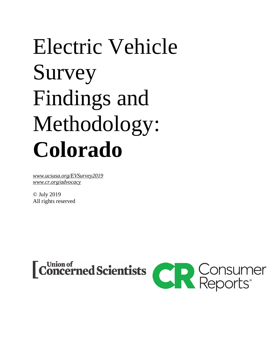# Electric Vehicle Survey Findings and Methodology: **Colorado**

*[www.ucsusa.org/](http://www.ucsusa.org/XXXX)EVSurvey2019 [www.cr.org/advocacy](https://advocacy.consumerreports.org/)*

© July 2019 All rights reserved



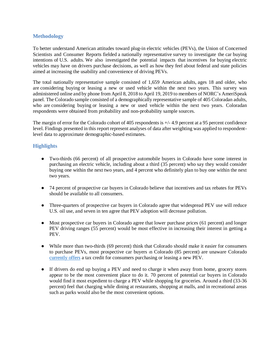#### **Methodology**

To better understand American attitudes toward plug-in electric vehicles (PEVs), the Union of Concerned Scientists and Consumer Reports fielded a nationally representative survey to investigate the car buying intentions of U.S. adults. We also investigated the potential impacts that incentives for buying electric vehicles may have on drivers purchase decisions, as well as how they feel about federal and state policies aimed at increasing the usability and convenience of driving PEVs.

The total nationally representative sample consisted of 1,659 American adults, ages 18 and older, who are considering buying or leasing a new or used vehicle within the next two years. This survey was administered online and by phone from April 8, 2018 to April 19, 2019 to members of NORC's AmeriSpeak panel. The Colorado sample consisted of a demographically representative sample of 405 Coloradan adults, who are considering buying or leasing a new or used vehicle within the next two years. Coloradan respondents were obtained from probability and non-probability sample sources.

The margin of error for the Colorado cohort of 405 respondents is +/- 4.9 percent at a 95 percent confidence level. Findings presented in this report represent analyses of data after weighting was applied to respondentlevel data to approximate demographic-based estimates.

### **Highlights**

- Two-thirds (66 percent) of all prospective automobile buyers in Colorado have some interest in purchasing an electric vehicle, including about a third (35 percent) who say they would consider buying one within the next two years, and 4 percent who definitely plan to buy one within the next two years.
- 74 percent of prospective car buyers in Colorado believe that incentives and tax rebates for PEVs should be available to all consumers.
- Three-quarters of prospective car buyers in Colorado agree that widespread PEV use will reduce U.S. oil use, and seven in ten agree that PEV adoption will decrease pollution.
- Most prospective car buyers in Colorado agree that lower purchase prices (61 percent) and longer PEV driving ranges (55 percent) would be most effective in increasing their interest in getting a PEV.
- While more than two-thirds (69 percent) think that Colorado should make it easier for consumers to purchase PEVs, most prospective car buyers in Colorado (85 percent) are unaware Colorado [currently offers](https://www.colorado.gov/pacific/energyoffice/alt-fuel-vehicle-tax-credits) a tax credit for consumers purchasing or leasing a new PEV.
- If drivers do end up buying a PEV and need to charge it when away from home, grocery stores appear to be the most convenient place to do it. 70 percent of potential car buyers in Colorado would find it most expedient to charge a PEV while shopping for groceries. Around a third (33-36 percent) feel that charging while dining at restaurants, shopping at malls, and in recreational areas such as parks would also be the most convenient options.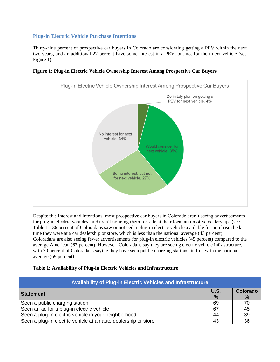## **Plug-in Electric Vehicle Purchase Intentions**

Thirty-nine percent of prospective car buyers in Colorado are considering getting a PEV within the next two years, and an additional 27 percent have some interest in a PEV, but not for their next vehicle (see Figure 1).



**Figure 1: Plug-in Electric Vehicle Ownership Interest Among Prospective Car Buyers**

Despite this interest and intentions, most prospective car buyers in Colorado aren't seeing advertisements for plug-in electric vehicles, and aren't noticing them for sale at their local automotive dealerships (see Table 1). 36 percent of Coloradans saw or noticed a plug-in electric vehicle available for purchase the last time they were at a car dealership or store, which is less than the national average (43 percent). Coloradans are also seeing fewer advertisements for plug-in electric vehicles (45 percent) compared to the average American (67 percent). However, Coloradans say they are seeing electric vehicle infrastructure, with 70 percent of Coloradans saying they have seen public charging stations, in line with the national average (69 percent).

| Availability of Plug-in Electric Vehicles and Infrastructure   |               |          |
|----------------------------------------------------------------|---------------|----------|
| <b>Statement</b>                                               | U.S.          | Colorado |
|                                                                | $\frac{9}{6}$ | $\%$     |
| Seen a public charging station                                 | 69            | 70       |
| Seen an ad for a plug-in electric vehicle                      | 67            | 45       |
| Seen a plug-in electric vehicle in your neighborhood           | 44            | 39       |
| Seen a plug-in electric vehicle at an auto dealership or store | 43            | 36       |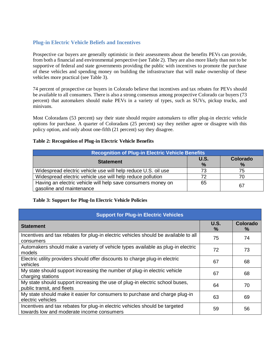## **Plug-in Electric Vehicle Beliefs and Incentives**

Prospective car buyers are generally optimistic in their assessments about the benefits PEVs can provide, from both a financial and environmental perspective (see Table 2). They are also more likely than not to be supportive of federal and state governments providing the public with incentives to promote the purchase of these vehicles and spending money on building the infrastructure that will make ownership of these vehicles more practical (see Table 3).

74 percent of prospective car buyers in Colorado believe that incentives and tax rebates for PEVs should be available to all consumers. There is also a strong consensus among prospective Colorado car buyers (73 percent) that automakers should make PEVs in a variety of types, such as SUVs, pickup trucks, and minivans.

Most Coloradans (53 percent) say their state should require automakers to offer plug-in electric vehicle options for purchase. A quarter of Coloradans (25 percent) say they neither agree or disagree with this policy option, and only about one-fifth (21 percent) say they disagree.

#### **Table 2: Recognition of Plug-in Electric Vehicle Benefits**

| <b>Recognition of Plug-in Electric Vehicle Benefits</b>                                  |                     |               |
|------------------------------------------------------------------------------------------|---------------------|---------------|
| <b>Statement</b>                                                                         | <b>U.S.</b><br>$\%$ | Colorado<br>% |
| Widespread electric vehicle use will help reduce U.S. oil use                            | 73                  | 75            |
| Widespread electric vehicle use will help reduce pollution                               | 72                  | 70            |
| Having an electric vehicle will help save consumers money on<br>gasoline and maintenance | 65                  | 67            |

#### **Table 3: Support for Plug-In Electric Vehicle Policies**

| <b>Support for Plug-in Electric Vehicles</b>                                                                             |                       |                      |  |
|--------------------------------------------------------------------------------------------------------------------------|-----------------------|----------------------|--|
| <b>Statement</b>                                                                                                         | U.S.<br>$\frac{9}{6}$ | <b>Colorado</b><br>℅ |  |
| Incentives and tax rebates for plug-in electric vehicles should be available to all<br>consumers                         | 75                    | 74                   |  |
| Automakers should make a variety of vehicle types available as plug-in electric<br>models                                | 72                    | 73                   |  |
| Electric utility providers should offer discounts to charge plug-in electric<br>vehicles                                 | 67                    | 68                   |  |
| My state should support increasing the number of plug-in electric vehicle<br>charging stations                           | 67                    | 68                   |  |
| My state should support increasing the use of plug-in electric school buses,<br>public transit, and fleets               | 64                    | 70                   |  |
| My state should make it easier for consumers to purchase and charge plug-in<br>electric vehicles                         | 63                    | 69                   |  |
| Incentives and tax rebates for plug-in electric vehicles should be targeted<br>towards low and moderate income consumers | 59                    | 56                   |  |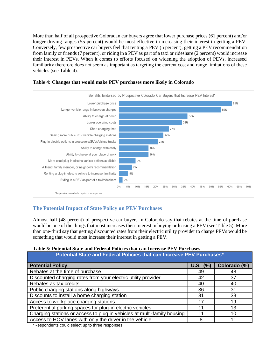More than half of all prospective Coloradan car buyers agree that lower purchase prices (61 percent) and/or longer driving ranges (55 percent) would be most effective in increasing their interest in getting a PEV. Conversely, few prospective car buyers feel that renting a PEV (5 percent), getting a PEV recommendation from family or friends (7 percent), or riding in a PEV as part of a taxi or rideshare (2 percent) would increase their interest in PEVs. When it comes to efforts focused on widening the adoption of PEVs, increased familiarity therefore does not seem as important as targeting the current cost and range limitations of these vehicles (see Table 4).



#### **Table 4: Changes that would make PEV purchases more likely in Colorado**

## **The Potential Impact of State Policy on PEV Purchases**

Almost half (48 percent) of prospective car buyers in Colorado say that rebates at the time of purchase would be one of the things that most increases their interest in buying or leasing a PEV (see Table 5). More than one-third say that getting discounted rates from their electric utility provider to charge PEVs would be something that would most increase their interest in getting a PEV.

#### **Table 5: Potential State and Federal Policies that can Increase PEV Purchases**

| Potential State and Federal Policies that can Increase PEV Purchases*   |            |              |  |
|-------------------------------------------------------------------------|------------|--------------|--|
| <b>Potential Policy</b>                                                 | $U.S.$ (%) | Colorado (%) |  |
| Rebates at the time of purchase                                         | 49         | 48           |  |
| Discounted charging rates from your electric utility provider           | 42         | 37           |  |
| Rebates as tax credits                                                  | 40         | 40           |  |
| Public charging stations along highways                                 | 36         | 31           |  |
| Discounts to install a home charging station                            | 31         | 33           |  |
| Access to workplace charging stations                                   | 17         | 19           |  |
| Preferential parking spaces for plug-in electric vehicles               | 11         | 13           |  |
| Charging stations or access to plug in vehicles at multi-family housing | 11         | 10           |  |
| Access to HOV lanes with only the driver in the vehicle                 | 8          | 11           |  |

\*Respondents could select up to three responses.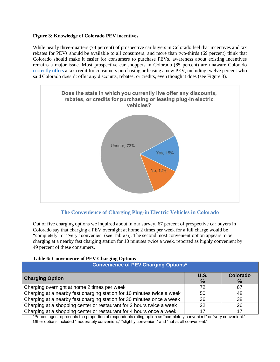#### **Figure 3: Knowledge of Colorado PEV incentives**

While nearly three-quarters (74 percent) of prospective car buyers in Colorado feel that incentives and tax rebates for PEVs should be available to all consumers, and more than two-thirds (69 percent) think that Colorado should make it easier for consumers to purchase PEVs, awareness about existing incentives remains a major issue. Most prospective car shoppers in Colorado (85 percent) are unaware Colorado [currently offers](https://www.colorado.gov/pacific/energyoffice/alt-fuel-vehicle-tax-credits) a tax credit for consumers purchasing or leasing a new PEV, including twelve percent who said Colorado doesn't offer any discounts, rebates, or credits, even though it does (see Figure 3).



## **The Convenience of Charging Plug-in Electric Vehicles in Colorado**

Out of five charging options we inquired about in our survey, 67 percent of prospective car buyers in Colorado say that charging a PEV overnight at home 2 times per week for a full charge would be "completely" or "very" convenient (see Table 6). The second most convenient option appears to be charging at a nearby fast charging station for 10 minutes twice a week, reported as highly convenient by 49 percent of these consumers.

| <b>Table 6: Convenience of PEV Charging Options</b> |  |
|-----------------------------------------------------|--|
|-----------------------------------------------------|--|

| <b>Convenience of PEV Charging Options*</b>                            |                       |                  |  |
|------------------------------------------------------------------------|-----------------------|------------------|--|
| <b>Charging Option</b>                                                 | U.S.<br>$\frac{9}{6}$ | Colorado<br>$\%$ |  |
| Charging overnight at home 2 times per week                            | 72                    | 67               |  |
| Charging at a nearby fast charging station for 10 minutes twice a week | 50                    | 48               |  |
| Charging at a nearby fast charging station for 30 minutes once a week  | 36                    | 38               |  |
| Charging at a shopping center or restaurant for 2 hours twice a week   | 22                    | 26               |  |
| Charging at a shopping center or restaurant for 4 hours once a week    |                       |                  |  |

\*Percentages represents the proportion of respondents rating option as "completely convenient" or "very convenient." Other options included "moderately convenient," "slightly convenient" and "not at all convenient."